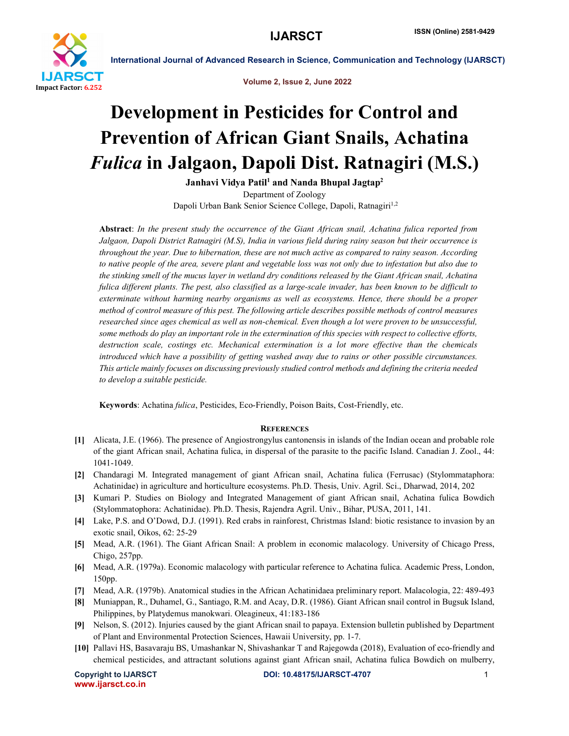

International Journal of Advanced Research in Science, Communication and Technology (IJARSCT)

Volume 2, Issue 2, June 2022

# Development in Pesticides for Control and Prevention of African Giant Snails, Achatina *Fulica* in Jalgaon, Dapoli Dist. Ratnagiri (M.S.)

Janhavi Vidya Patil<sup>1</sup> and Nanda Bhupal Jagtap<sup>2</sup> Department of Zoology

Dapoli Urban Bank Senior Science College, Dapoli, Ratnagiri<sup>1,2</sup>

Abstract: *In the present study the occurrence of the Giant African snail, Achatina fulica reported from Jalgaon, Dapoli District Ratnagiri (M.S), India in various field during rainy season but their occurrence is throughout the year. Due to hibernation, these are not much active as compared to rainy season. According to native people of the area, severe plant and vegetable loss was not only due to infestation but also due to the stinking smell of the mucus layer in wetland dry conditions released by the Giant African snail, Achatina fulica different plants. The pest, also classified as a large-scale invader, has been known to be difficult to exterminate without harming nearby organisms as well as ecosystems. Hence, there should be a proper method of control measure of this pest. The following article describes possible methods of control measures researched since ages chemical as well as non-chemical. Even though a lot were proven to be unsuccessful, some methods do play an important role in the extermination of this species with respect to collective efforts, destruction scale, costings etc. Mechanical extermination is a lot more effective than the chemicals introduced which have a possibility of getting washed away due to rains or other possible circumstances. This article mainly focuses on discussing previously studied control methods and defining the criteria needed to develop a suitable pesticide.*

Keywords: Achatina *fulica*, Pesticides, Eco-Friendly, Poison Baits, Cost-Friendly, etc.

# **REFERENCES**

- [1] Alicata, J.E. (1966). The presence of Angiostrongylus cantonensis in islands of the Indian ocean and probable role of the giant African snail, Achatina fulica, in dispersal of the parasite to the pacific Island. Canadian J. Zool., 44: 1041-1049.
- [2] Chandaragi M. Integrated management of giant African snail, Achatina fulica (Ferrusac) (Stylommataphora: Achatinidae) in agriculture and horticulture ecosystems. Ph.D. Thesis, Univ. Agril. Sci., Dharwad, 2014, 202
- [3] Kumari P. Studies on Biology and Integrated Management of giant African snail, Achatina fulica Bowdich (Stylommatophora: Achatinidae). Ph.D. Thesis, Rajendra Agril. Univ., Bihar, PUSA, 2011, 141.
- [4] Lake, P.S. and O'Dowd, D.J. (1991). Red crabs in rainforest, Christmas Island: biotic resistance to invasion by an exotic snail, Oikos, 62: 25-29
- [5] Mead, A.R. (1961). The Giant African Snail: A problem in economic malacology. University of Chicago Press, Chigo, 257pp.
- [6] Mead, A.R. (1979a). Economic malacology with particular reference to Achatina fulica. Academic Press, London, 150pp.
- [7] Mead, A.R. (1979b). Anatomical studies in the African Achatinidaea preliminary report. Malacologia, 22: 489-493
- [8] Muniappan, R., Duhamel, G., Santiago, R.M. and Acay, D.R. (1986). Giant African snail control in Bugsuk Island, Philippines, by Platydemus manokwari. Oleagineux, 41:183-186
- [9] Nelson, S. (2012). Injuries caused by the giant African snail to papaya. Extension bulletin published by Department of Plant and Environmental Protection Sciences, Hawaii University, pp. 1-7.
- [10] Pallavi HS, Basavaraju BS, Umashankar N, Shivashankar T and Rajegowda (2018), Evaluation of eco-friendly and chemical pesticides, and attractant solutions against giant African snail, Achatina fulica Bowdich on mulberry,

www.ijarsct.co.in